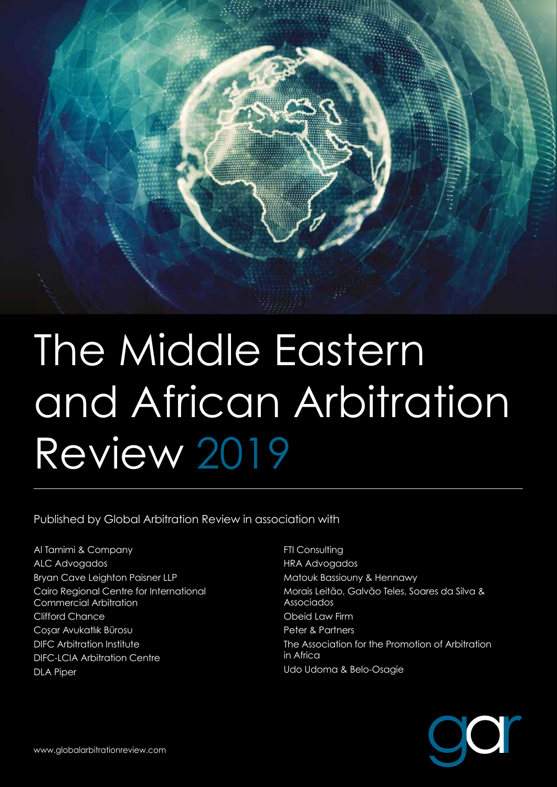

Published by Global Arbitration Review in association with

Al Tamimi & Company ALC Advogados Bryan Cave Leighton Paisner LLP Cairo Regional Centre for International Commercial Arbitration Clifford Chance Cosar Avukatlık Bürosu DIFC Arbitration Institute DIFC-LCIA Arbitration Centre DLA Piper

**FTI Consulting** HRA Advogados Matouk Bassiouny & Hennawy Morais Leitão, Galvão Teles, Soares da Silva & Associados Obeid Law Firm Peter & Partners The Association for the Promotion of Arbitration in Africa Udo Udoma & Belo-Osagie

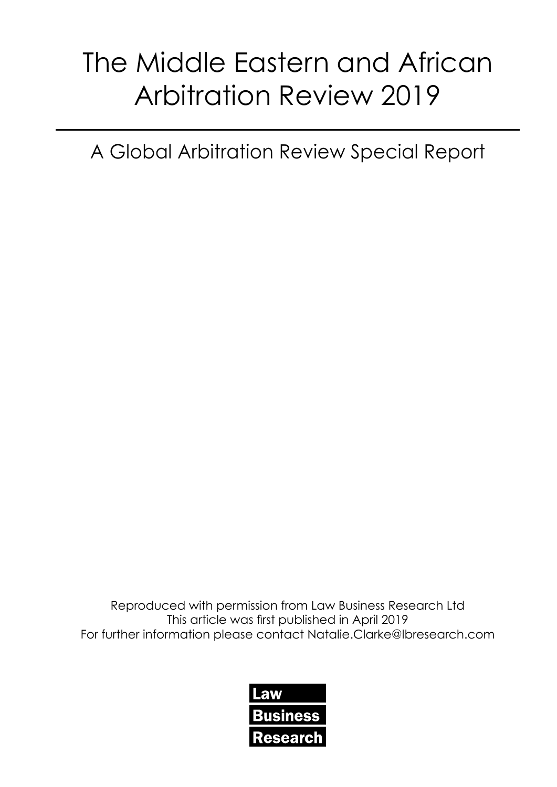A Global Arbitration Review Special Report

Reproduced with permission from Law Business Research Ltd This article was first published in April 2019 For further information please contact Natalie.Clarke@lbresearch.com

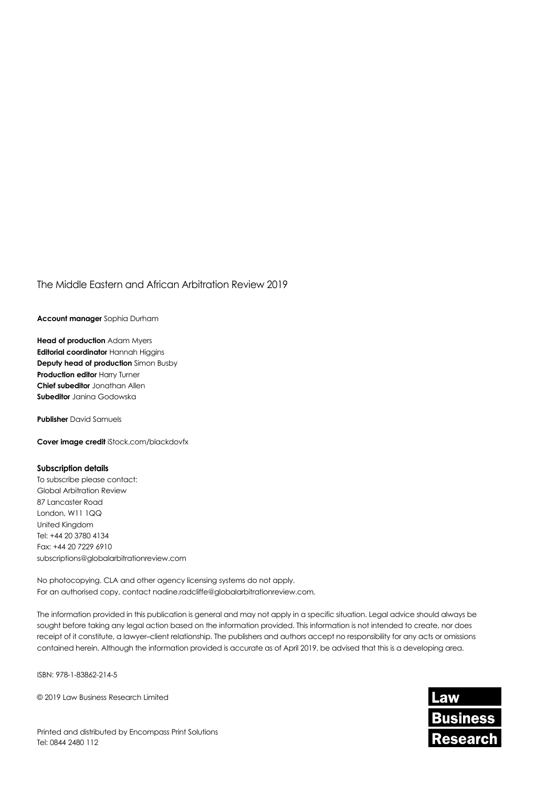**Account manager** Sophia Durham

**Head of production** Adam Myers **Editorial coordinator** Hannah Higgins **Deputy head of production** Simon Busby **Production editor Harry Turner Chief subeditor** Jonathan Allen **Subeditor** Janina Godowska

**Publisher** David Samuels

**Cover image credit** iStock.com/blackdovfx

#### **Subscription details**

To subscribe please contact: Global Arbitration Review 87 Lancaster Road London, W11 1QQ United Kingdom Tel: +44 20 3780 4134 Fax: +44 20 7229 6910 subscriptions@globalarbitrationreview.com

No photocopying. CLA and other agency licensing systems do not apply. For an authorised copy, contact nadine.radcliffe@globalarbitrationreview.com.

The information provided in this publication is general and may not apply in a specific situation. Legal advice should always be sought before taking any legal action based on the information provided. This information is not intended to create, nor does receipt of it constitute, a lawyer–client relationship. The publishers and authors accept no responsibility for any acts or omissions contained herein. Although the information provided is accurate as of April 2019, be advised that this is a developing area.

ISBN: 978-1-83862-214-5

© 2019 Law Business Research Limited

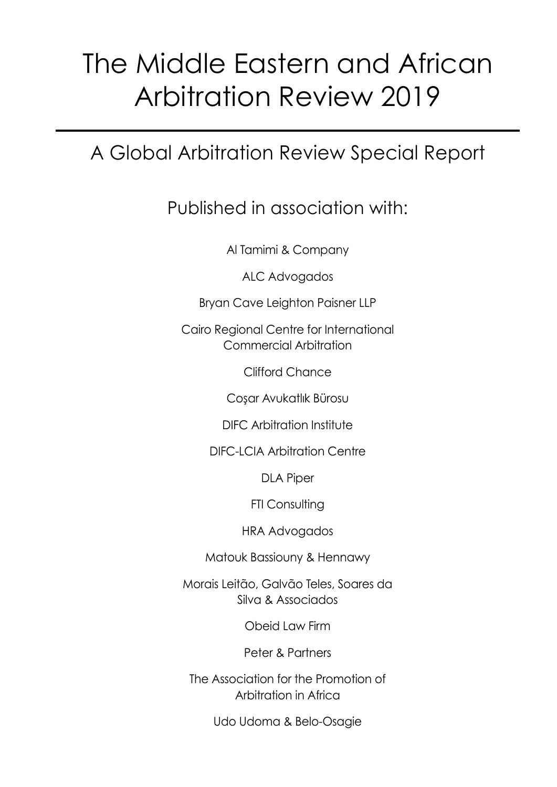## A Global Arbitration Review Special Report

### Published in association with:

Al Tamimi & Company

ALC Advogados

Bryan Cave Leighton Paisner LLP

Cairo Regional Centre for International Commercial Arbitration

Clifford Chance

Coşar Avukatlık Bürosu

DIFC Arbitration Institute

DIFC-LCIA Arbitration Centre

DLA Piper

FTI Consulting

HRA Advogados

Matouk Bassiouny & Hennawy

Morais Leitão, Galvão Teles, Soares da Silva & Associados

Obeid Law Firm

Peter & Partners

The Association for the Promotion of Arbitration in Africa

Udo Udoma & Belo-Osagie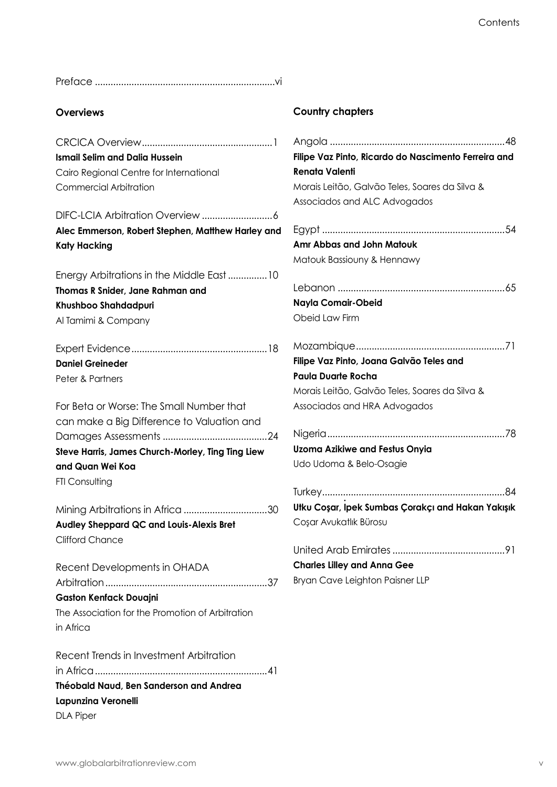Preface .....................................................................vi

#### **Overviews**

CRCICA Overview..................................................1 **Ismail Selim and Dalia Hussein** Cairo Regional Centre for International Commercial Arbitration

DIFC-LCIA Arbitration Overview ...........................6 **Alec Emmerson, Robert Stephen, Matthew Harley and Katy Hacking**

Energy Arbitrations in the Middle East...............10 **Thomas R Snider, Jane Rahman and Khushboo Shahdadpuri** Al Tamimi & Company

Expert Evidence....................................................18 **Daniel Greineder** Peter & Partners

For Beta or Worse: The Small Number that can make a Big Difference to Valuation and Damages Assessments ........................................24 **Steve Harris, James Church-Morley, Ting Ting Liew and Quan Wei Koa FTI Consulting** 

Mining Arbitrations in Africa ................................30 **Audley Sheppard QC and Louis-Alexis Bret** Clifford Chance

Recent Developments in OHADA Arbitration..............................................................37 **Gaston Kenfack Douajni** The Association for the Promotion of Arbitration in Africa

Recent Trends in Investment Arbitration in Africa..................................................................41 **Théobald Naud, Ben Sanderson and Andrea Lapunzina Veronelli** DLA Piper

#### **Country chapters**

| Filipe Vaz Pinto, Ricardo do Nascimento Ferreira and |
|------------------------------------------------------|
| <b>Renata Valenti</b>                                |
| Morais Leitão, Galvão Teles, Soares da Silva &       |
| Associados and ALC Advogados                         |
|                                                      |
| Amr Abbas and John Matouk                            |
| Matouk Bassiouny & Hennawy                           |
|                                                      |
| Nayla Comair-Obeid                                   |
| Obeid Law Firm                                       |
|                                                      |
| Filipe Vaz Pinto, Joana Galvão Teles and             |
| <b>Paula Duarte Rocha</b>                            |
| Morais Leitão, Galvão Teles, Soares da Silva &       |
| Associados and HRA Advogados                         |
|                                                      |
| <b>Uzoma Azikiwe and Festus Onyia</b>                |
| Udo Udoma & Belo-Osagie                              |
|                                                      |
| Utku Coşar, Ipek Sumbas Çorakçı and Hakan Yakışık    |
| Coşar Avukatlık Bürosu                               |
| United Arab Emirates<br>91                           |
| <b>Charles Lilley and Anna Gee</b>                   |
| Bryan Cave Leighton Paisner LLP                      |
|                                                      |
|                                                      |
|                                                      |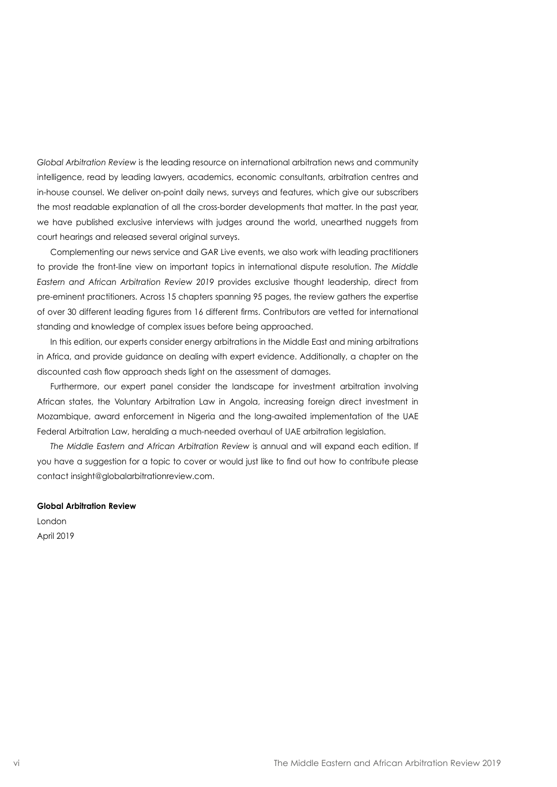*Global Arbitration Review* is the leading resource on international arbitration news and community intelligence, read by leading lawyers, academics, economic consultants, arbitration centres and in-house counsel. We deliver on-point daily news, surveys and features, which give our subscribers the most readable explanation of all the cross-border developments that matter. In the past year, we have published exclusive interviews with judges around the world, unearthed nuggets from court hearings and released several original surveys.

Complementing our news service and GAR Live events, we also work with leading practitioners to provide the front-line view on important topics in international dispute resolution. *The Middle Eastern and African Arbitration Review 2019* provides exclusive thought leadership, direct from pre-eminent practitioners. Across 15 chapters spanning 95 pages, the review gathers the expertise of over 30 different leading figures from 16 different firms. Contributors are vetted for international standing and knowledge of complex issues before being approached.

In this edition, our experts consider energy arbitrations in the Middle East and mining arbitrations in Africa, and provide guidance on dealing with expert evidence. Additionally, a chapter on the discounted cash flow approach sheds light on the assessment of damages.

Furthermore, our expert panel consider the landscape for investment arbitration involving African states, the Voluntary Arbitration Law in Angola, increasing foreign direct investment in Mozambique, award enforcement in Nigeria and the long-awaited implementation of the UAE Federal Arbitration Law, heralding a much-needed overhaul of UAE arbitration legislation.

*The Middle Eastern and African Arbitration Review* is annual and will expand each edition. If you have a suggestion for a topic to cover or would just like to find out how to contribute please contact insight@globalarbitrationreview.com.

#### **Global Arbitration Review**

London April 2019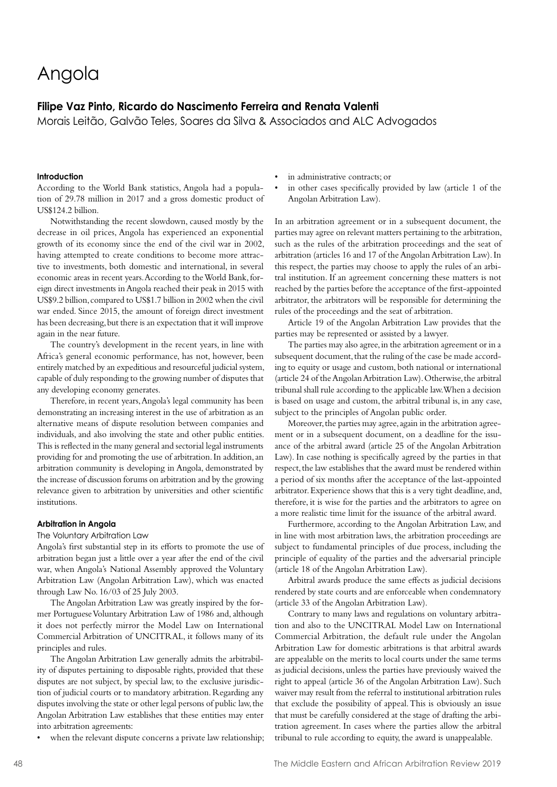### Angola

#### **Filipe Vaz Pinto, Ricardo do Nascimento Ferreira and Renata Valenti**

Morais Leitão, Galvão Teles, Soares da Silva & Associados and ALC Advogados

#### **Introduction**

According to the World Bank statistics, Angola had a population of 29.78 million in 2017 and a gross domestic product of US\$124.2 billion.

Notwithstanding the recent slowdown, caused mostly by the decrease in oil prices, Angola has experienced an exponential growth of its economy since the end of the civil war in 2002, having attempted to create conditions to become more attractive to investments, both domestic and international, in several economic areas in recent years. According to the World Bank, foreign direct investments in Angola reached their peak in 2015 with US\$9.2 billion, compared to US\$1.7 billion in 2002 when the civil war ended. Since 2015, the amount of foreign direct investment has been decreasing, but there is an expectation that it will improve again in the near future.

The country's development in the recent years, in line with Africa's general economic performance, has not, however, been entirely matched by an expeditious and resourceful judicial system, capable of duly responding to the growing number of disputes that any developing economy generates.

Therefore, in recent years, Angola's legal community has been demonstrating an increasing interest in the use of arbitration as an alternative means of dispute resolution between companies and individuals, and also involving the state and other public entities. This is reflected in the many general and sectorial legal instruments providing for and promoting the use of arbitration. In addition, an arbitration community is developing in Angola, demonstrated by the increase of discussion forums on arbitration and by the growing relevance given to arbitration by universities and other scientific institutions.

#### **Arbitration in Angola**

#### The Voluntary Arbitration Law

Angola's first substantial step in its efforts to promote the use of arbitration began just a little over a year after the end of the civil war, when Angola's National Assembly approved the Voluntary Arbitration Law (Angolan Arbitration Law), which was enacted through Law No. 16/03 of 25 July 2003.

The Angolan Arbitration Law was greatly inspired by the former Portuguese Voluntary Arbitration Law of 1986 and, although it does not perfectly mirror the Model Law on International Commercial Arbitration of UNCITRAL, it follows many of its principles and rules.

The Angolan Arbitration Law generally admits the arbitrability of disputes pertaining to disposable rights, provided that these disputes are not subject, by special law, to the exclusive jurisdiction of judicial courts or to mandatory arbitration. Regarding any disputes involving the state or other legal persons of public law, the Angolan Arbitration Law establishes that these entities may enter into arbitration agreements:

when the relevant dispute concerns a private law relationship;

- in administrative contracts; or
- in other cases specifically provided by law (article 1 of the Angolan Arbitration Law).

In an arbitration agreement or in a subsequent document, the parties may agree on relevant matters pertaining to the arbitration, such as the rules of the arbitration proceedings and the seat of arbitration (articles 16 and 17 of the Angolan Arbitration Law). In this respect, the parties may choose to apply the rules of an arbitral institution. If an agreement concerning these matters is not reached by the parties before the acceptance of the first-appointed arbitrator, the arbitrators will be responsible for determining the rules of the proceedings and the seat of arbitration.

Article 19 of the Angolan Arbitration Law provides that the parties may be represented or assisted by a lawyer.

The parties may also agree, in the arbitration agreement or in a subsequent document, that the ruling of the case be made according to equity or usage and custom, both national or international (article 24 of the Angolan Arbitration Law). Otherwise, the arbitral tribunal shall rule according to the applicable law. When a decision is based on usage and custom, the arbitral tribunal is, in any case, subject to the principles of Angolan public order.

Moreover, the parties may agree, again in the arbitration agreement or in a subsequent document, on a deadline for the issuance of the arbitral award (article 25 of the Angolan Arbitration Law). In case nothing is specifically agreed by the parties in that respect, the law establishes that the award must be rendered within a period of six months after the acceptance of the last-appointed arbitrator. Experience shows that this is a very tight deadline, and, therefore, it is wise for the parties and the arbitrators to agree on a more realistic time limit for the issuance of the arbitral award.

Furthermore, according to the Angolan Arbitration Law, and in line with most arbitration laws, the arbitration proceedings are subject to fundamental principles of due process, including the principle of equality of the parties and the adversarial principle (article 18 of the Angolan Arbitration Law).

Arbitral awards produce the same effects as judicial decisions rendered by state courts and are enforceable when condemnatory (article 33 of the Angolan Arbitration Law).

Contrary to many laws and regulations on voluntary arbitration and also to the UNCITRAL Model Law on International Commercial Arbitration, the default rule under the Angolan Arbitration Law for domestic arbitrations is that arbitral awards are appealable on the merits to local courts under the same terms as judicial decisions, unless the parties have previously waived the right to appeal (article 36 of the Angolan Arbitration Law). Such waiver may result from the referral to institutional arbitration rules that exclude the possibility of appeal. This is obviously an issue that must be carefully considered at the stage of drafting the arbitration agreement. In cases where the parties allow the arbitral tribunal to rule according to equity, the award is unappealable.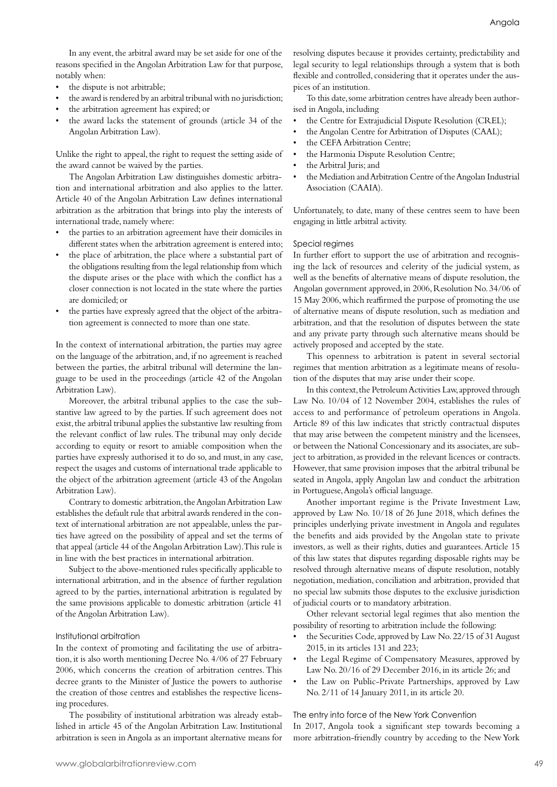In any event, the arbitral award may be set aside for one of the reasons specified in the Angolan Arbitration Law for that purpose, notably when:

- the dispute is not arbitrable;
- the award is rendered by an arbitral tribunal with no jurisdiction;
- the arbitration agreement has expired; or
- the award lacks the statement of grounds (article 34 of the Angolan Arbitration Law).

Unlike the right to appeal, the right to request the setting aside of the award cannot be waived by the parties.

The Angolan Arbitration Law distinguishes domestic arbitration and international arbitration and also applies to the latter. Article 40 of the Angolan Arbitration Law defines international arbitration as the arbitration that brings into play the interests of international trade, namely where:

- the parties to an arbitration agreement have their domiciles in different states when the arbitration agreement is entered into;
- the place of arbitration, the place where a substantial part of the obligations resulting from the legal relationship from which the dispute arises or the place with which the conflict has a closer connection is not located in the state where the parties are domiciled; or
- the parties have expressly agreed that the object of the arbitration agreement is connected to more than one state.

In the context of international arbitration, the parties may agree on the language of the arbitration, and, if no agreement is reached between the parties, the arbitral tribunal will determine the language to be used in the proceedings (article 42 of the Angolan Arbitration Law).

Moreover, the arbitral tribunal applies to the case the substantive law agreed to by the parties. If such agreement does not exist, the arbitral tribunal applies the substantive law resulting from the relevant conflict of law rules. The tribunal may only decide according to equity or resort to amiable composition when the parties have expressly authorised it to do so, and must, in any case, respect the usages and customs of international trade applicable to the object of the arbitration agreement (article 43 of the Angolan Arbitration Law).

Contrary to domestic arbitration, the Angolan Arbitration Law establishes the default rule that arbitral awards rendered in the context of international arbitration are not appealable, unless the parties have agreed on the possibility of appeal and set the terms of that appeal (article 44 of the Angolan Arbitration Law). This rule is in line with the best practices in international arbitration.

Subject to the above-mentioned rules specifically applicable to international arbitration, and in the absence of further regulation agreed to by the parties, international arbitration is regulated by the same provisions applicable to domestic arbitration (article 41 of the Angolan Arbitration Law).

#### Institutional arbitration

In the context of promoting and facilitating the use of arbitration, it is also worth mentioning Decree No. 4/06 of 27 February 2006, which concerns the creation of arbitration centres. This decree grants to the Minister of Justice the powers to authorise the creation of those centres and establishes the respective licensing procedures.

The possibility of institutional arbitration was already established in article 45 of the Angolan Arbitration Law. Institutional arbitration is seen in Angola as an important alternative means for

resolving disputes because it provides certainty, predictability and legal security to legal relationships through a system that is both flexible and controlled, considering that it operates under the auspices of an institution.

To this date, some arbitration centres have already been authorised in Angola, including

- the Centre for Extrajudicial Dispute Resolution (CREL);
- the Angolan Centre for Arbitration of Disputes (CAAL);
- the CEFA Arbitration Centre;
- the Harmonia Dispute Resolution Centre;
- the Arbitral Juris; and
- the Mediation and Arbitration Centre of the Angolan Industrial Association (CAAIA).

Unfortunately, to date, many of these centres seem to have been engaging in little arbitral activity.

#### Special regimes

In further effort to support the use of arbitration and recognising the lack of resources and celerity of the judicial system, as well as the benefits of alternative means of dispute resolution, the Angolan government approved, in 2006, Resolution No. 34/06 of 15 May 2006, which reaffirmed the purpose of promoting the use of alternative means of dispute resolution, such as mediation and arbitration, and that the resolution of disputes between the state and any private party through such alternative means should be actively proposed and accepted by the state.

This openness to arbitration is patent in several sectorial regimes that mention arbitration as a legitimate means of resolution of the disputes that may arise under their scope.

In this context, the Petroleum Activities Law, approved through Law No. 10/04 of 12 November 2004, establishes the rules of access to and performance of petroleum operations in Angola. Article 89 of this law indicates that strictly contractual disputes that may arise between the competent ministry and the licensees, or between the National Concessionary and its associates, are subject to arbitration, as provided in the relevant licences or contracts. However, that same provision imposes that the arbitral tribunal be seated in Angola, apply Angolan law and conduct the arbitration in Portuguese, Angola's official language.

Another important regime is the Private Investment Law, approved by Law No. 10/18 of 26 June 2018, which defines the principles underlying private investment in Angola and regulates the benefits and aids provided by the Angolan state to private investors, as well as their rights, duties and guarantees. Article 15 of this law states that disputes regarding disposable rights may be resolved through alternative means of dispute resolution, notably negotiation, mediation, conciliation and arbitration, provided that no special law submits those disputes to the exclusive jurisdiction of judicial courts or to mandatory arbitration.

Other relevant sectorial legal regimes that also mention the possibility of resorting to arbitration include the following:

- the Securities Code, approved by Law No. 22/15 of 31 August 2015, in its articles 131 and 223;
- the Legal Regime of Compensatory Measures, approved by Law No. 20/16 of 29 December 2016, in its article 26; and
- the Law on Public-Private Partnerships, approved by Law No. 2/11 of 14 January 2011, in its article 20.

The entry into force of the New York Convention

In 2017, Angola took a significant step towards becoming a more arbitration-friendly country by acceding to the New York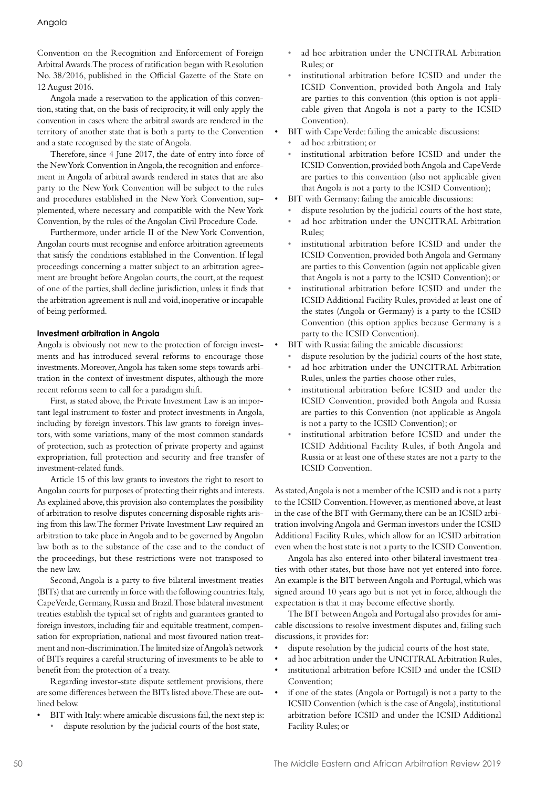Convention on the Recognition and Enforcement of Foreign Arbitral Awards. The process of ratification began with Resolution No. 38/2016, published in the Official Gazette of the State on 12 August 2016.

Angola made a reservation to the application of this convention, stating that, on the basis of reciprocity, it will only apply the convention in cases where the arbitral awards are rendered in the territory of another state that is both a party to the Convention and a state recognised by the state of Angola.

Therefore, since 4 June 2017, the date of entry into force of the New York Convention in Angola, the recognition and enforcement in Angola of arbitral awards rendered in states that are also party to the New York Convention will be subject to the rules and procedures established in the New York Convention, supplemented, where necessary and compatible with the New York Convention, by the rules of the Angolan Civil Procedure Code.

Furthermore, under article II of the New York Convention, Angolan courts must recognise and enforce arbitration agreements that satisfy the conditions established in the Convention. If legal proceedings concerning a matter subject to an arbitration agreement are brought before Angolan courts, the court, at the request of one of the parties, shall decline jurisdiction, unless it finds that the arbitration agreement is null and void, inoperative or incapable of being performed.

#### **Investment arbitration in Angola**

Angola is obviously not new to the protection of foreign investments and has introduced several reforms to encourage those investments. Moreover, Angola has taken some steps towards arbitration in the context of investment disputes, although the more recent reforms seem to call for a paradigm shift.

First, as stated above, the Private Investment Law is an important legal instrument to foster and protect investments in Angola, including by foreign investors. This law grants to foreign investors, with some variations, many of the most common standards of protection, such as protection of private property and against expropriation, full protection and security and free transfer of investment-related funds.

Article 15 of this law grants to investors the right to resort to Angolan courts for purposes of protecting their rights and interests. As explained above, this provision also contemplates the possibility of arbitration to resolve disputes concerning disposable rights arising from this law. The former Private Investment Law required an arbitration to take place in Angola and to be governed by Angolan law both as to the substance of the case and to the conduct of the proceedings, but these restrictions were not transposed to the new law.

Second, Angola is a party to five bilateral investment treaties (BITs) that are currently in force with the following countries: Italy, Cape Verde, Germany, Russia and Brazil. Those bilateral investment treaties establish the typical set of rights and guarantees granted to foreign investors, including fair and equitable treatment, compensation for expropriation, national and most favoured nation treatment and non-discrimination. The limited size of Angola's network of BITs requires a careful structuring of investments to be able to benefit from the protection of a treaty.

Regarding investor-state dispute settlement provisions, there are some differences between the BITs listed above. These are outlined below.

- BIT with Italy: where amicable discussions fail, the next step is:
- dispute resolution by the judicial courts of the host state,
- ad hoc arbitration under the UNCITRAL Arbitration Rules; or
- institutional arbitration before ICSID and under the ICSID Convention, provided both Angola and Italy are parties to this convention (this option is not applicable given that Angola is not a party to the ICSID Convention).
- BIT with Cape Verde: failing the amicable discussions:
- ad hoc arbitration; or
- institutional arbitration before ICSID and under the ICSID Convention, provided both Angola and Cape Verde are parties to this convention (also not applicable given that Angola is not a party to the ICSID Convention);
- BIT with Germany: failing the amicable discussions:
- dispute resolution by the judicial courts of the host state,
- ad hoc arbitration under the UNCITRAL Arbitration Rules;
- institutional arbitration before ICSID and under the ICSID Convention, provided both Angola and Germany are parties to this Convention (again not applicable given that Angola is not a party to the ICSID Convention); or
- institutional arbitration before ICSID and under the ICSID Additional Facility Rules, provided at least one of the states (Angola or Germany) is a party to the ICSID Convention (this option applies because Germany is a party to the ICSID Convention).
- BIT with Russia: failing the amicable discussions:
- dispute resolution by the judicial courts of the host state,
- ad hoc arbitration under the UNCITRAL Arbitration Rules, unless the parties choose other rules,
- institutional arbitration before ICSID and under the ICSID Convention, provided both Angola and Russia are parties to this Convention (not applicable as Angola is not a party to the ICSID Convention); or
- institutional arbitration before ICSID and under the ICSID Additional Facility Rules, if both Angola and Russia or at least one of these states are not a party to the ICSID Convention.

As stated, Angola is not a member of the ICSID and is not a party to the ICSID Convention. However, as mentioned above, at least in the case of the BIT with Germany, there can be an ICSID arbitration involving Angola and German investors under the ICSID Additional Facility Rules, which allow for an ICSID arbitration even when the host state is not a party to the ICSID Convention.

Angola has also entered into other bilateral investment treaties with other states, but those have not yet entered into force. An example is the BIT between Angola and Portugal, which was signed around 10 years ago but is not yet in force, although the expectation is that it may become effective shortly.

The BIT between Angola and Portugal also provides for amicable discussions to resolve investment disputes and, failing such discussions, it provides for:

- dispute resolution by the judicial courts of the host state,
- ad hoc arbitration under the UNCITRAL Arbitration Rules.
- institutional arbitration before ICSID and under the ICSID Convention;
- if one of the states (Angola or Portugal) is not a party to the ICSID Convention (which is the case of Angola), institutional arbitration before ICSID and under the ICSID Additional Facility Rules; or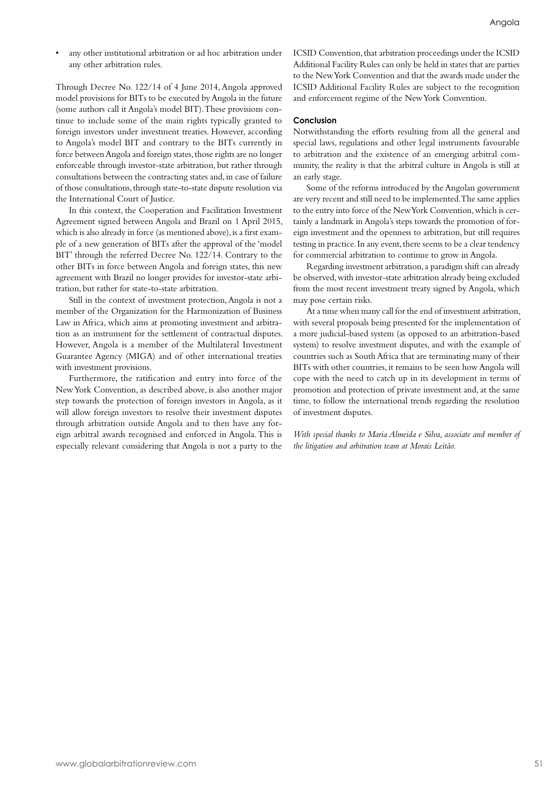• any other institutional arbitration or ad hoc arbitration under any other arbitration rules.

Through Decree No. 122/14 of 4 June 2014, Angola approved model provisions for BITs to be executed by Angola in the future (some authors call it Angola's model BIT). These provisions continue to include some of the main rights typically granted to foreign investors under investment treaties. However, according to Angola's model BIT and contrary to the BITs currently in force between Angola and foreign states, those rights are no longer enforceable through investor-state arbitration, but rather through consultations between the contracting states and, in case of failure of those consultations, through state-to-state dispute resolution via the International Court of Justice.

In this context, the Cooperation and Facilitation Investment Agreement signed between Angola and Brazil on 1 April 2015, which is also already in force (as mentioned above), is a first example of a new generation of BITs after the approval of the 'model BIT' through the referred Decree No. 122/14. Contrary to the other BITs in force between Angola and foreign states, this new agreement with Brazil no longer provides for investor-state arbitration, but rather for state-to-state arbitration.

Still in the context of investment protection, Angola is not a member of the Organization for the Harmonization of Business Law in Africa, which aims at promoting investment and arbitration as an instrument for the settlement of contractual disputes. However, Angola is a member of the Multilateral Investment Guarantee Agency (MIGA) and of other international treaties with investment provisions.

Furthermore, the ratification and entry into force of the New York Convention, as described above, is also another major step towards the protection of foreign investors in Angola, as it will allow foreign investors to resolve their investment disputes through arbitration outside Angola and to then have any foreign arbitral awards recognised and enforced in Angola. This is especially relevant considering that Angola is not a party to the ICSID Convention, that arbitration proceedings under the ICSID Additional Facility Rules can only be held in states that are parties to the New York Convention and that the awards made under the ICSID Additional Facility Rules are subject to the recognition and enforcement regime of the New York Convention.

#### **Conclusion**

Notwithstanding the efforts resulting from all the general and special laws, regulations and other legal instruments favourable to arbitration and the existence of an emerging arbitral community, the reality is that the arbitral culture in Angola is still at an early stage.

Some of the reforms introduced by the Angolan government are very recent and still need to be implemented. The same applies to the entry into force of the New York Convention, which is certainly a landmark in Angola's steps towards the promotion of foreign investment and the openness to arbitration, but still requires testing in practice. In any event, there seems to be a clear tendency for commercial arbitration to continue to grow in Angola.

Regarding investment arbitration, a paradigm shift can already be observed, with investor-state arbitration already being excluded from the most recent investment treaty signed by Angola, which may pose certain risks.

At a time when many call for the end of investment arbitration, with several proposals being presented for the implementation of a more judicial-based system (as opposed to an arbitration-based system) to resolve investment disputes, and with the example of countries such as South Africa that are terminating many of their BITs with other countries, it remains to be seen how Angola will cope with the need to catch up in its development in terms of promotion and protection of private investment and, at the same time, to follow the international trends regarding the resolution of investment disputes.

*With special thanks to Maria Almeida e Silva, associate and member of the litigation and arbitration team at Morais Leitão.*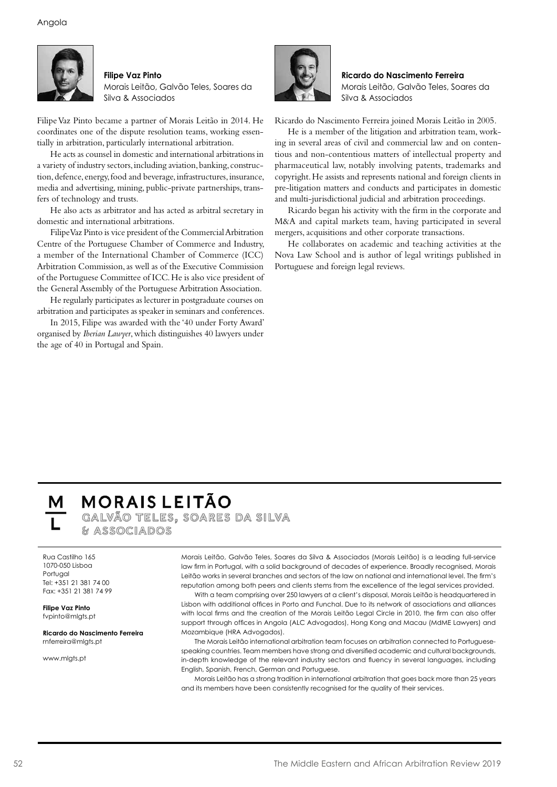

**Filipe Vaz Pinto** Morais Leitão, Galvão Teles, Soares da Silva & Associados

Filipe Vaz Pinto became a partner of Morais Leitão in 2014. He coordinates one of the dispute resolution teams, working essentially in arbitration, particularly international arbitration.

He acts as counsel in domestic and international arbitrations in a variety of industry sectors, including aviation, banking, construction, defence, energy, food and beverage, infrastructures, insurance, media and advertising, mining, public-private partnerships, transfers of technology and trusts.

He also acts as arbitrator and has acted as arbitral secretary in domestic and international arbitrations.

Filipe Vaz Pinto is vice president of the Commercial Arbitration Centre of the Portuguese Chamber of Commerce and Industry, a member of the International Chamber of Commerce (ICC) Arbitration Commission, as well as of the Executive Commission of the Portuguese Committee of ICC. He is also vice president of the General Assembly of the Portuguese Arbitration Association.

He regularly participates as lecturer in postgraduate courses on arbitration and participates as speaker in seminars and conferences.

In 2015, Filipe was awarded with the '40 under Forty Award' organised by *Iberian Lawyer*, which distinguishes 40 lawyers under the age of 40 in Portugal and Spain.



**Ricardo do Nascimento Ferreira** Morais Leitão, Galvão Teles, Soares da Silva & Associados

Ricardo do Nascimento Ferreira joined Morais Leitão in 2005.

He is a member of the litigation and arbitration team, working in several areas of civil and commercial law and on contentious and non-contentious matters of intellectual property and pharmaceutical law, notably involving patents, trademarks and copyright. He assists and represents national and foreign clients in pre-litigation matters and conducts and participates in domestic and multi-jurisdictional judicial and arbitration proceedings.

Ricardo began his activity with the firm in the corporate and M&A and capital markets team, having participated in several mergers, acquisitions and other corporate transactions.

He collaborates on academic and teaching activities at the Nova Law School and is author of legal writings published in Portuguese and foreign legal reviews.

#### **MORAIS LEITÃO** GALVÃO TELES, SOARES DA SILVA

& ASSOCIADOS

Rua Castilho 165 1070-050 Lisboa Portugal Tel: +351 21 381 74 00 Fax: +351 21 381 74 99

**Filipe Vaz Pinto** fvpinto@mlgts.pt

**Ricardo do Nascimento Ferreira** rnferreira@mlgts.pt

www.mlgts.pt

Morais Leitão, Galvão Teles, Soares da Silva & Associados (Morais Leitão) is a leading full-service law firm in Portugal, with a solid background of decades of experience. Broadly recognised, Morais Leitão works in several branches and sectors of the law on national and international level. The firm's reputation among both peers and clients stems from the excellence of the legal services provided.

With a team comprising over 250 lawyers at a client's disposal, Morais Leitão is headquartered in Lisbon with additional offices in Porto and Funchal. Due to its network of associations and alliances with local firms and the creation of the Morais Leitão Legal Circle in 2010, the firm can also offer support through offices in Angola (ALC Advogados), Hong Kong and Macau (MdME Lawyers) and Mozambique (HRA Advogados).

The Morais Leitão international arbitration team focuses on arbitration connected to Portuguesespeaking countries. Team members have strong and diversified academic and cultural backgrounds, in-depth knowledge of the relevant industry sectors and fluency in several languages, including English, Spanish, French, German and Portuguese.

Morais Leitão has a strong tradition in international arbitration that goes back more than 25 years and its members have been consistently recognised for the quality of their services.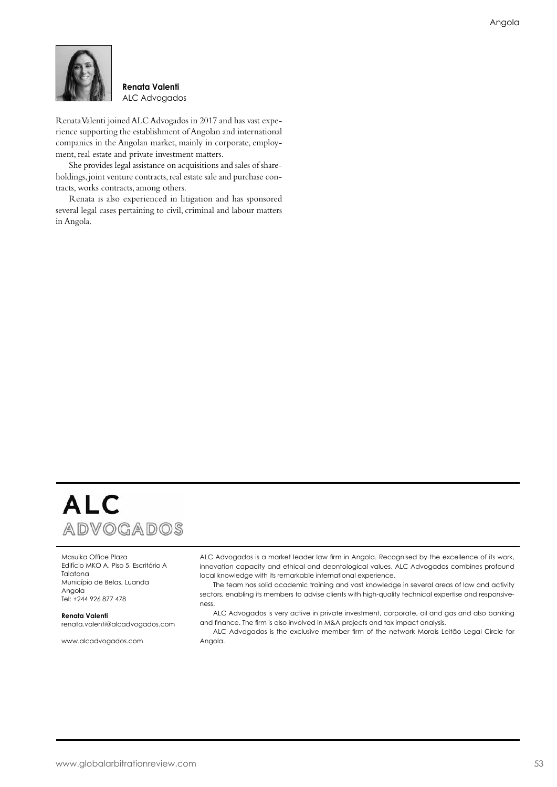

#### **Renata Valenti** ALC Advogados

Renata Valenti joined ALC Advogados in 2017 and has vast experience supporting the establishment of Angolan and international companies in the Angolan market, mainly in corporate, employment, real estate and private investment matters.

She provides legal assistance on acquisitions and sales of shareholdings, joint venture contracts, real estate sale and purchase contracts, works contracts, among others.

Renata is also experienced in litigation and has sponsored several legal cases pertaining to civil, criminal and labour matters in Angola.



Masuika Office Plaza Edifício MKO A, Piso 5, Escritório A Talatona Município de Belas, Luanda Angola Tel: +244 926 877 478

**Renata Valenti** renata.valenti@alcadvogados.com

www.alcadvogados.com

ALC Advogados is a market leader law firm in Angola. Recognised by the excellence of its work, innovation capacity and ethical and deontological values, ALC Advogados combines profound local knowledge with its remarkable international experience.

The team has solid academic training and vast knowledge in several areas of law and activity sectors, enabling its members to advise clients with high-quality technical expertise and responsiveness.

ALC Advogados is very active in private investment, corporate, oil and gas and also banking and finance. The firm is also involved in M&A projects and tax impact analysis.

ALC Advogados is the exclusive member firm of the network Morais Leitão Legal Circle for Angola